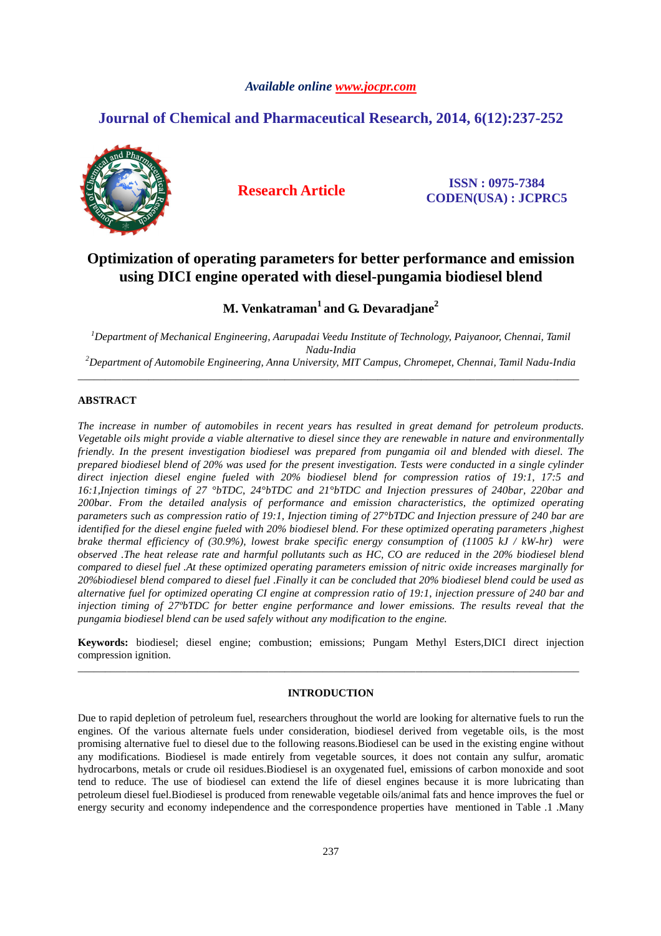## *Available online www.jocpr.com*

# **Journal of Chemical and Pharmaceutical Research, 2014, 6(12):237-252**



**Research Article ISSN : 0975-7384 CODEN(USA) : JCPRC5**

# **Optimization of operating parameters for better performance and emission using DICI engine operated with diesel-pungamia biodiesel blend**

**M. Venkatraman<sup>1</sup>and G. Devaradjane<sup>2</sup>**

*<sup>1</sup>Department of Mechanical Engineering, Aarupadai Veedu Institute of Technology, Paiyanoor, Chennai, Tamil Nadu-India <sup>2</sup>Department of Automobile Engineering, Anna University, MIT Campus, Chromepet, Chennai, Tamil Nadu-India*

\_\_\_\_\_\_\_\_\_\_\_\_\_\_\_\_\_\_\_\_\_\_\_\_\_\_\_\_\_\_\_\_\_\_\_\_\_\_\_\_\_\_\_\_\_\_\_\_\_\_\_\_\_\_\_\_\_\_\_\_\_\_\_\_\_\_\_\_\_\_\_\_\_\_\_\_\_\_\_\_\_\_\_\_\_\_\_\_\_\_\_\_

## **ABSTRACT**

*The increase in number of automobiles in recent years has resulted in great demand for petroleum products. Vegetable oils might provide a viable alternative to diesel since they are renewable in nature and environmentally friendly. In the present investigation biodiesel was prepared from pungamia oil and blended with diesel. The prepared biodiesel blend of 20% was used for the present investigation. Tests were conducted in a single cylinder direct injection diesel engine fueled with 20% biodiesel blend for compression ratios of 19:1, 17:5 and 16:1,Injection timings of 27 °bTDC, 24°bTDC and 21°bTDC and Injection pressures of 240bar, 220bar and 200bar. From the detailed analysis of performance and emission characteristics, the optimized operating parameters such as compression ratio of 19:1, Injection timing of 27°bTDC and Injection pressure of 240 bar are identified for the diesel engine fueled with 20% biodiesel blend. For these optimized operating parameters ,highest brake thermal efficiency of (30.9%), lowest brake specific energy consumption of (11005 kJ / kW-hr) were observed .The heat release rate and harmful pollutants such as HC, CO are reduced in the 20% biodiesel blend compared to diesel fuel .At these optimized operating parameters emission of nitric oxide increases marginally for 20%biodiesel blend compared to diesel fuel .Finally it can be concluded that 20% biodiesel blend could be used as alternative fuel for optimized operating CI engine at compression ratio of 19:1, injection pressure of 240 bar and injection timing of 27ºbTDC for better engine performance and lower emissions. The results reveal that the pungamia biodiesel blend can be used safely without any modification to the engine.* 

**Keywords:** biodiesel; diesel engine; combustion; emissions; Pungam Methyl Esters,DICI direct injection compression ignition. \_\_\_\_\_\_\_\_\_\_\_\_\_\_\_\_\_\_\_\_\_\_\_\_\_\_\_\_\_\_\_\_\_\_\_\_\_\_\_\_\_\_\_\_\_\_\_\_\_\_\_\_\_\_\_\_\_\_\_\_\_\_\_\_\_\_\_\_\_\_\_\_\_\_\_\_\_\_\_\_\_\_\_\_\_\_\_\_\_\_\_\_

### **INTRODUCTION**

Due to rapid depletion of petroleum fuel, researchers throughout the world are looking for alternative fuels to run the engines. Of the various alternate fuels under consideration, biodiesel derived from vegetable oils, is the most promising alternative fuel to diesel due to the following reasons.Biodiesel can be used in the existing engine without any modifications. Biodiesel is made entirely from vegetable sources, it does not contain any sulfur, aromatic hydrocarbons, metals or crude oil residues.Biodiesel is an oxygenated fuel, emissions of carbon monoxide and soot tend to reduce. The use of biodiesel can extend the life of diesel engines because it is more lubricating than petroleum diesel fuel.Biodiesel is produced from renewable vegetable oils/animal fats and hence improves the fuel or energy security and economy independence and the correspondence properties have mentioned in Table .1 .Many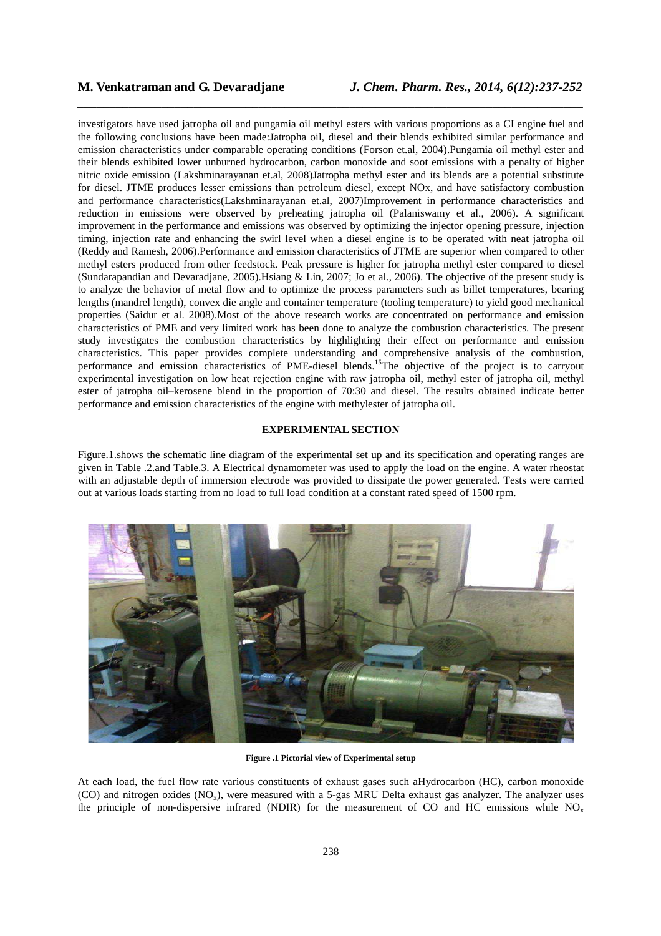investigators have used jatropha oil and pungamia oil methyl esters with various proportions as a CI engine fuel and the following conclusions have been made:Jatropha oil, diesel and their blends exhibited similar performance and emission characteristics under comparable operating conditions (Forson et.al, 2004).Pungamia oil methyl ester and their blends exhibited lower unburned hydrocarbon, carbon monoxide and soot emissions with a penalty of higher nitric oxide emission (Lakshminarayanan et.al, 2008)Jatropha methyl ester and its blends are a potential substitute for diesel. JTME produces lesser emissions than petroleum diesel, except NOx, and have satisfactory combustion and performance characteristics(Lakshminarayanan et.al, 2007)Improvement in performance characteristics and reduction in emissions were observed by preheating jatropha oil (Palaniswamy et al., 2006). A significant improvement in the performance and emissions was observed by optimizing the injector opening pressure, injection timing, injection rate and enhancing the swirl level when a diesel engine is to be operated with neat jatropha oil (Reddy and Ramesh, 2006).Performance and emission characteristics of JTME are superior when compared to other methyl esters produced from other feedstock. Peak pressure is higher for jatropha methyl ester compared to diesel (Sundarapandian and Devaradjane, 2005).Hsiang & Lin, 2007; Jo et al., 2006). The objective of the present study is to analyze the behavior of metal flow and to optimize the process parameters such as billet temperatures, bearing lengths (mandrel length), convex die angle and container temperature (tooling temperature) to yield good mechanical properties (Saidur et al. 2008).Most of the above research works are concentrated on performance and emission characteristics of PME and very limited work has been done to analyze the combustion characteristics. The present study investigates the combustion characteristics by highlighting their effect on performance and emission characteristics. This paper provides complete understanding and comprehensive analysis of the combustion, performance and emission characteristics of PME-diesel blends.<sup>15</sup>The objective of the project is to carryout experimental investigation on low heat rejection engine with raw jatropha oil, methyl ester of jatropha oil, methyl ester of jatropha oil–kerosene blend in the proportion of 70:30 and diesel. The results obtained indicate better performance and emission characteristics of the engine with methylester of jatropha oil.

*\_\_\_\_\_\_\_\_\_\_\_\_\_\_\_\_\_\_\_\_\_\_\_\_\_\_\_\_\_\_\_\_\_\_\_\_\_\_\_\_\_\_\_\_\_\_\_\_\_\_\_\_\_\_\_\_\_\_\_\_\_\_\_\_\_\_\_\_\_\_\_\_\_\_\_\_\_\_*

### **EXPERIMENTAL SECTION**

Figure.1.shows the schematic line diagram of the experimental set up and its specification and operating ranges are given in Table .2.and Table.3. A Electrical dynamometer was used to apply the load on the engine. A water rheostat with an adjustable depth of immersion electrode was provided to dissipate the power generated. Tests were carried out at various loads starting from no load to full load condition at a constant rated speed of 1500 rpm.



**Figure .1 Pictorial view of Experimental setup** 

At each load, the fuel flow rate various constituents of exhaust gases such aHydrocarbon (HC), carbon monoxide (CO) and nitrogen oxides (NO<sub>x</sub>), were measured with a 5-gas MRU Delta exhaust gas analyzer. The analyzer uses the principle of non-dispersive infrared (NDIR) for the measurement of CO and HC emissions while  $NO<sub>x</sub>$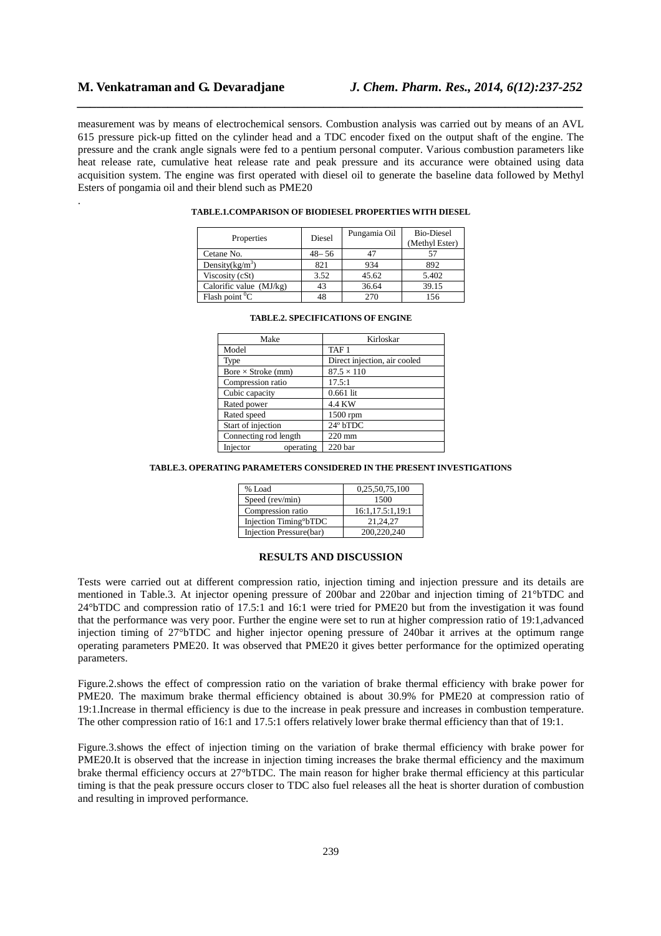.

measurement was by means of electrochemical sensors. Combustion analysis was carried out by means of an AVL 615 pressure pick-up fitted on the cylinder head and a TDC encoder fixed on the output shaft of the engine. The pressure and the crank angle signals were fed to a pentium personal computer. Various combustion parameters like heat release rate, cumulative heat release rate and peak pressure and its accurance were obtained using data acquisition system. The engine was first operated with diesel oil to generate the baseline data followed by Methyl Esters of pongamia oil and their blend such as PME20

*\_\_\_\_\_\_\_\_\_\_\_\_\_\_\_\_\_\_\_\_\_\_\_\_\_\_\_\_\_\_\_\_\_\_\_\_\_\_\_\_\_\_\_\_\_\_\_\_\_\_\_\_\_\_\_\_\_\_\_\_\_\_\_\_\_\_\_\_\_\_\_\_\_\_\_\_\_\_*

| Properties                | Diesel    | Pungamia Oil | <b>Bio-Diesel</b><br>(Methyl Ester) |
|---------------------------|-----------|--------------|-------------------------------------|
| Cetane No.                | $48 - 56$ | 47           |                                     |
| Density $(kg/m^3)$        | 821       | 934          | 892                                 |
| Viscosity (cSt)           | 3.52      | 45.62        | 5.402                               |
| Calorific value $(MJ/kg)$ | 43        | 36.64        | 39.15                               |
| Flash point ${}^{0}C$     | 48        | 270          | 156                                 |

### **TABLE.1.COMPARISON OF BIODIESEL PROPERTIES WITH DIESEL**

| Make                      | Kirloskar                    |
|---------------------------|------------------------------|
| Model                     | TAF <sub>1</sub>             |
| Type                      | Direct injection, air cooled |
| Bore $\times$ Stroke (mm) | $87.5 \times 110$            |
| Compression ratio         | 17.5:1                       |
| Cubic capacity            | $0.661$ lit                  |
| Rated power               | 4.4 KW                       |
| Rated speed               | 1500 rpm                     |
| Start of injection        | 24° bTDC                     |
| Connecting rod length     | $220$ mm                     |
| Injector<br>operating     | 220 <sub>bar</sub>           |

### **TABLE.2. SPECIFICATIONS OF ENGINE**

### **TABLE.3. OPERATING PARAMETERS CONSIDERED IN THE PRESENT INVESTIGATIONS**

| % Load                             | 0,25,50,75,100   |
|------------------------------------|------------------|
| Speed (rev/min)                    | 1500             |
| Compression ratio                  | 16:1,17.5:1,19:1 |
| Injection Timing <sup>o</sup> bTDC | 21.24.27         |
| Injection Pressure(bar)            | 200,220,240      |

### **RESULTS AND DISCUSSION**

Tests were carried out at different compression ratio, injection timing and injection pressure and its details are mentioned in Table.3. At injector opening pressure of 200bar and 220bar and injection timing of 21°bTDC and 24°bTDC and compression ratio of 17.5:1 and 16:1 were tried for PME20 but from the investigation it was found that the performance was very poor. Further the engine were set to run at higher compression ratio of 19:1,advanced injection timing of 27°bTDC and higher injector opening pressure of 240bar it arrives at the optimum range operating parameters PME20. It was observed that PME20 it gives better performance for the optimized operating parameters.

Figure.2.shows the effect of compression ratio on the variation of brake thermal efficiency with brake power for PME20. The maximum brake thermal efficiency obtained is about 30.9% for PME20 at compression ratio of 19:1.Increase in thermal efficiency is due to the increase in peak pressure and increases in combustion temperature. The other compression ratio of 16:1 and 17.5:1 offers relatively lower brake thermal efficiency than that of 19:1.

Figure.3.shows the effect of injection timing on the variation of brake thermal efficiency with brake power for PME20.It is observed that the increase in injection timing increases the brake thermal efficiency and the maximum brake thermal efficiency occurs at 27°bTDC. The main reason for higher brake thermal efficiency at this particular timing is that the peak pressure occurs closer to TDC also fuel releases all the heat is shorter duration of combustion and resulting in improved performance.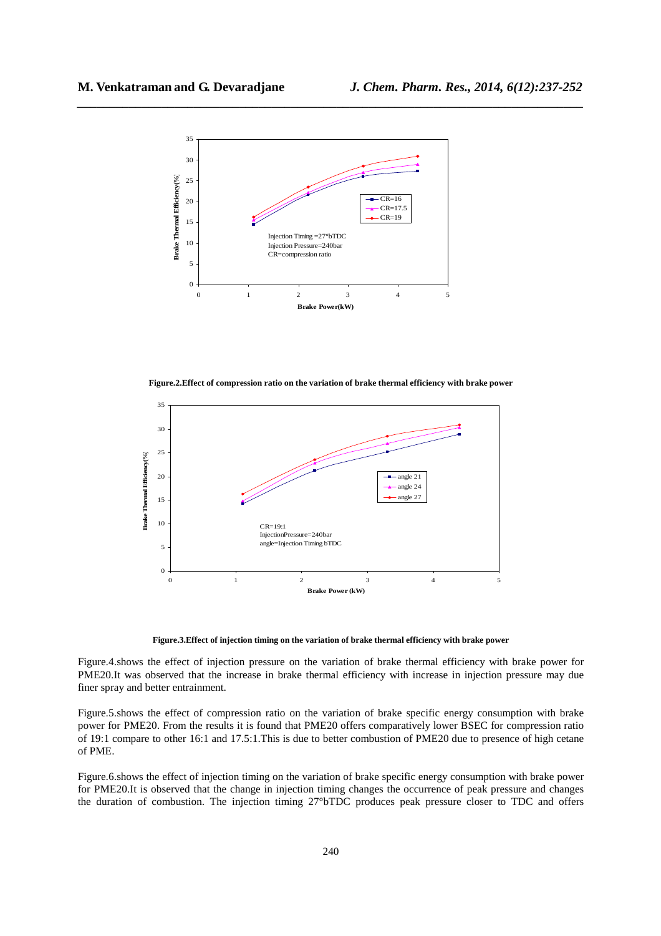

**Figure.2.Effect of compression ratio on the variation of brake thermal efficiency with brake power** 



**Figure.3.Effect of injection timing on the variation of brake thermal efficiency with brake power** 

Figure.4.shows the effect of injection pressure on the variation of brake thermal efficiency with brake power for PME20.It was observed that the increase in brake thermal efficiency with increase in injection pressure may due finer spray and better entrainment.

Figure.5.shows the effect of compression ratio on the variation of brake specific energy consumption with brake power for PME20. From the results it is found that PME20 offers comparatively lower BSEC for compression ratio of 19:1 compare to other 16:1 and 17.5:1.This is due to better combustion of PME20 due to presence of high cetane of PME.

Figure.6.shows the effect of injection timing on the variation of brake specific energy consumption with brake power for PME20.It is observed that the change in injection timing changes the occurrence of peak pressure and changes the duration of combustion. The injection timing 27°bTDC produces peak pressure closer to TDC and offers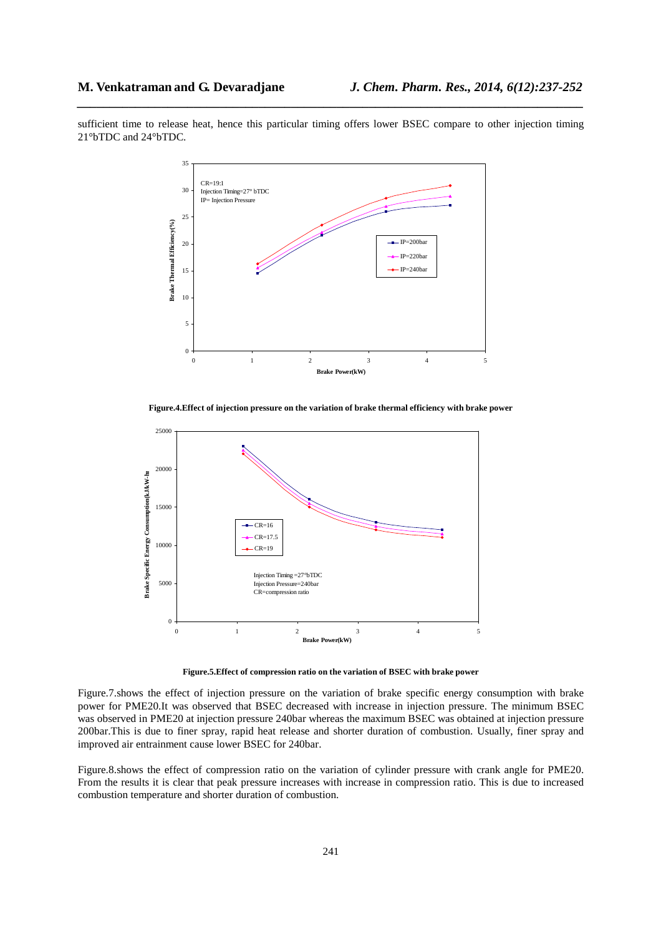sufficient time to release heat, hence this particular timing offers lower BSEC compare to other injection timing 21°bTDC and 24°bTDC.

*\_\_\_\_\_\_\_\_\_\_\_\_\_\_\_\_\_\_\_\_\_\_\_\_\_\_\_\_\_\_\_\_\_\_\_\_\_\_\_\_\_\_\_\_\_\_\_\_\_\_\_\_\_\_\_\_\_\_\_\_\_\_\_\_\_\_\_\_\_\_\_\_\_\_\_\_\_\_*



**Figure.4.Effect of injection pressure on the variation of brake thermal efficiency with brake power** 



**Figure.5.Effect of compression ratio on the variation of BSEC with brake power** 

Figure.7.shows the effect of injection pressure on the variation of brake specific energy consumption with brake power for PME20.It was observed that BSEC decreased with increase in injection pressure. The minimum BSEC was observed in PME20 at injection pressure 240bar whereas the maximum BSEC was obtained at injection pressure 200bar.This is due to finer spray, rapid heat release and shorter duration of combustion. Usually, finer spray and improved air entrainment cause lower BSEC for 240bar.

Figure.8.shows the effect of compression ratio on the variation of cylinder pressure with crank angle for PME20. From the results it is clear that peak pressure increases with increase in compression ratio. This is due to increased combustion temperature and shorter duration of combustion.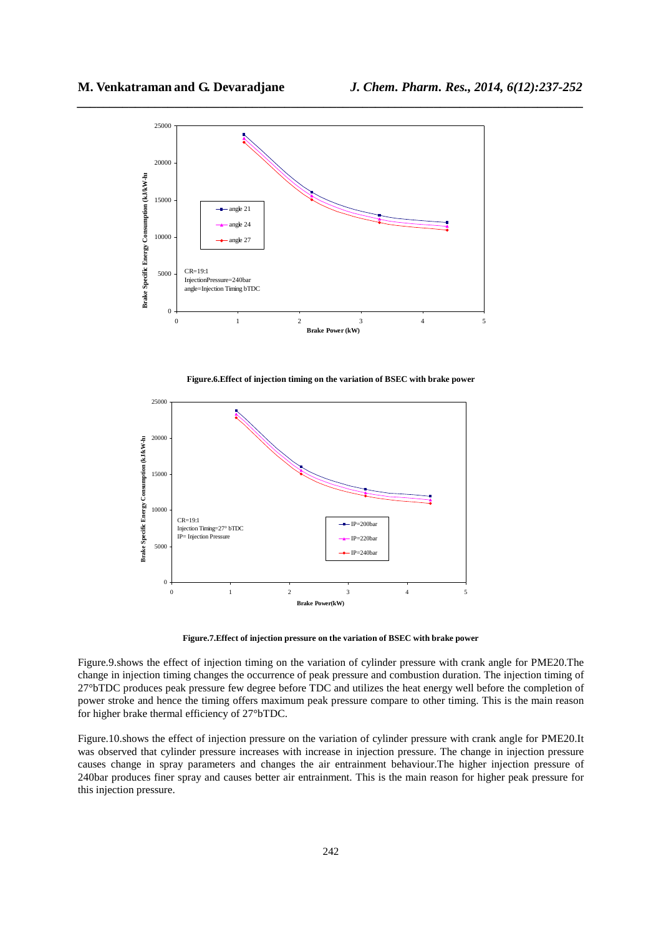

**Figure.6.Effect of injection timing on the variation of BSEC with brake power** 



**Figure.7.Effect of injection pressure on the variation of BSEC with brake power** 

Figure.9.shows the effect of injection timing on the variation of cylinder pressure with crank angle for PME20.The change in injection timing changes the occurrence of peak pressure and combustion duration. The injection timing of 27°bTDC produces peak pressure few degree before TDC and utilizes the heat energy well before the completion of power stroke and hence the timing offers maximum peak pressure compare to other timing. This is the main reason for higher brake thermal efficiency of 27°bTDC.

Figure.10.shows the effect of injection pressure on the variation of cylinder pressure with crank angle for PME20.It was observed that cylinder pressure increases with increase in injection pressure. The change in injection pressure causes change in spray parameters and changes the air entrainment behaviour.The higher injection pressure of 240bar produces finer spray and causes better air entrainment. This is the main reason for higher peak pressure for this injection pressure.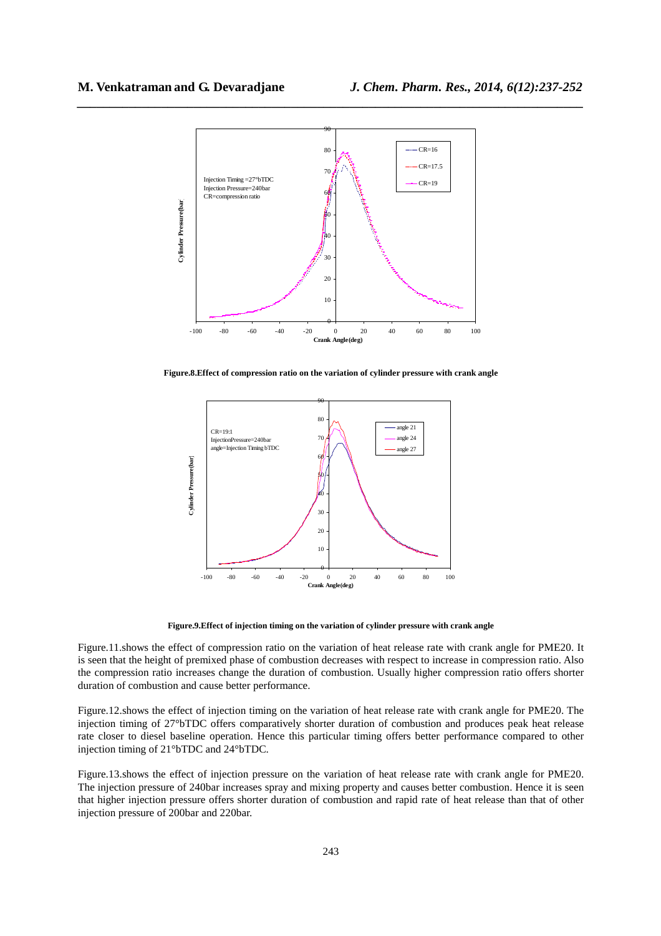

**Figure.8.Effect of compression ratio on the variation of cylinder pressure with crank angle** 



**Figure.9.Effect of injection timing on the variation of cylinder pressure with crank angle** 

Figure.11.shows the effect of compression ratio on the variation of heat release rate with crank angle for PME20. It is seen that the height of premixed phase of combustion decreases with respect to increase in compression ratio. Also the compression ratio increases change the duration of combustion. Usually higher compression ratio offers shorter duration of combustion and cause better performance.

Figure.12.shows the effect of injection timing on the variation of heat release rate with crank angle for PME20. The injection timing of 27°bTDC offers comparatively shorter duration of combustion and produces peak heat release rate closer to diesel baseline operation. Hence this particular timing offers better performance compared to other injection timing of 21°bTDC and 24°bTDC.

Figure.13.shows the effect of injection pressure on the variation of heat release rate with crank angle for PME20. The injection pressure of 240bar increases spray and mixing property and causes better combustion. Hence it is seen that higher injection pressure offers shorter duration of combustion and rapid rate of heat release than that of other injection pressure of 200bar and 220bar.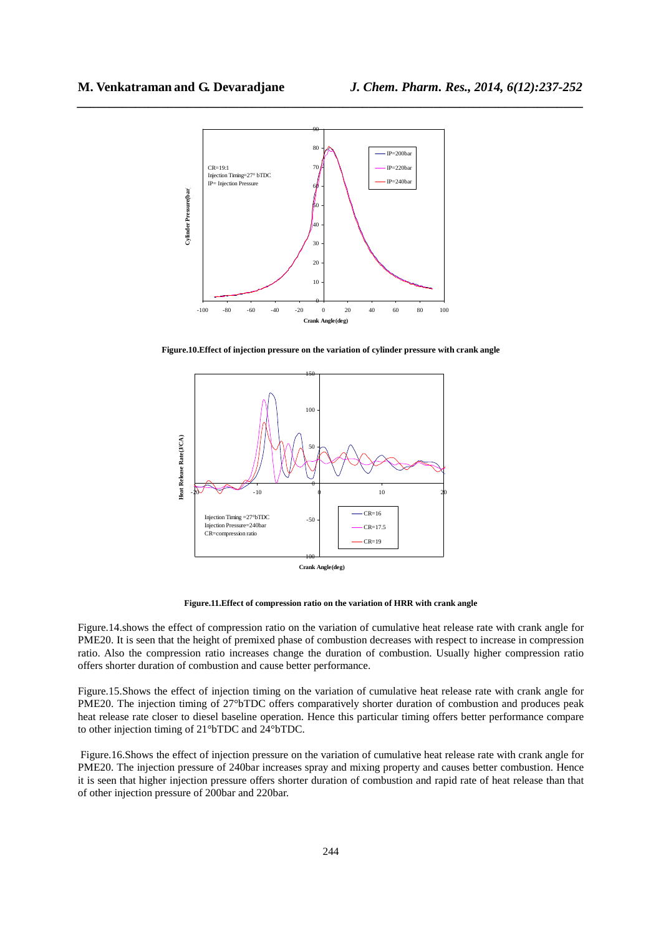

**Figure.10.Effect of injection pressure on the variation of cylinder pressure with crank angle** 



**Figure.11.Effect of compression ratio on the variation of HRR with crank angle** 

Figure.14.shows the effect of compression ratio on the variation of cumulative heat release rate with crank angle for PME20. It is seen that the height of premixed phase of combustion decreases with respect to increase in compression ratio. Also the compression ratio increases change the duration of combustion. Usually higher compression ratio offers shorter duration of combustion and cause better performance.

Figure.15.Shows the effect of injection timing on the variation of cumulative heat release rate with crank angle for PME20. The injection timing of 27°bTDC offers comparatively shorter duration of combustion and produces peak heat release rate closer to diesel baseline operation. Hence this particular timing offers better performance compare to other injection timing of 21°bTDC and 24°bTDC.

 Figure.16.Shows the effect of injection pressure on the variation of cumulative heat release rate with crank angle for PME20. The injection pressure of 240bar increases spray and mixing property and causes better combustion. Hence it is seen that higher injection pressure offers shorter duration of combustion and rapid rate of heat release than that of other injection pressure of 200bar and 220bar.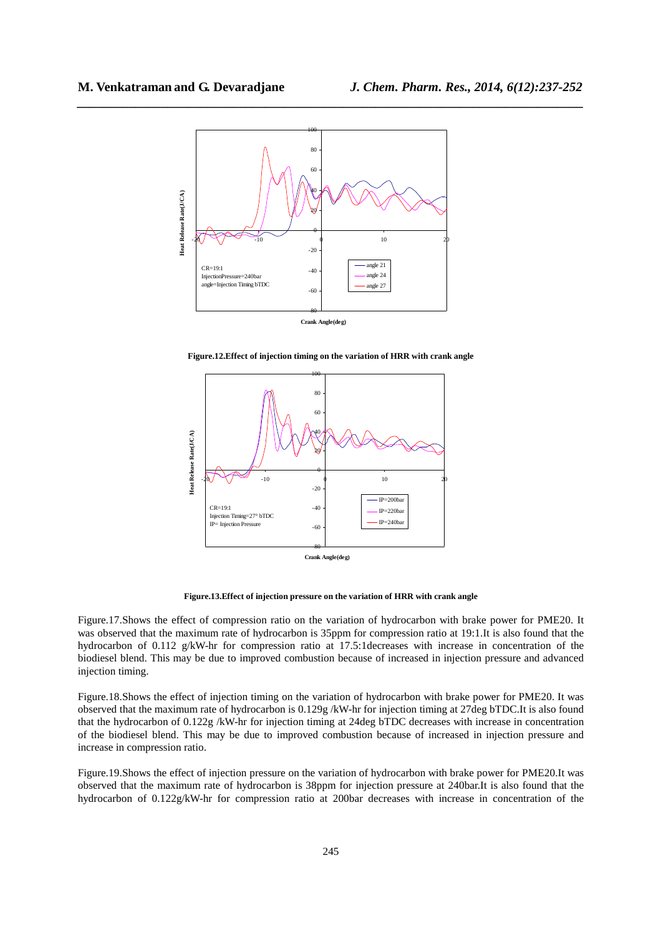

**Figure.12.Effect of injection timing on the variation of HRR with crank angle** 



**Figure.13.Effect of injection pressure on the variation of HRR with crank angle** 

Figure.17.Shows the effect of compression ratio on the variation of hydrocarbon with brake power for PME20. It was observed that the maximum rate of hydrocarbon is 35ppm for compression ratio at 19:1.It is also found that the hydrocarbon of 0.112 g/kW-hr for compression ratio at 17.5:1decreases with increase in concentration of the biodiesel blend. This may be due to improved combustion because of increased in injection pressure and advanced injection timing.

Figure.18.Shows the effect of injection timing on the variation of hydrocarbon with brake power for PME20. It was observed that the maximum rate of hydrocarbon is 0.129g /kW-hr for injection timing at 27deg bTDC.It is also found that the hydrocarbon of 0.122g /kW-hr for injection timing at 24deg bTDC decreases with increase in concentration of the biodiesel blend. This may be due to improved combustion because of increased in injection pressure and increase in compression ratio.

Figure.19.Shows the effect of injection pressure on the variation of hydrocarbon with brake power for PME20.It was observed that the maximum rate of hydrocarbon is 38ppm for injection pressure at 240bar.It is also found that the hydrocarbon of 0.122g/kW-hr for compression ratio at 200bar decreases with increase in concentration of the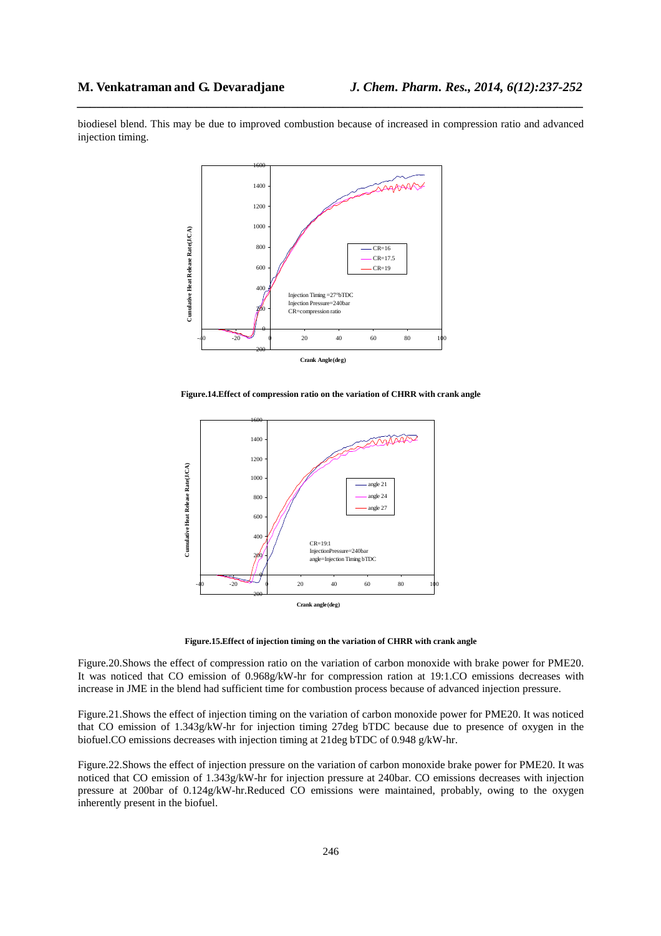biodiesel blend. This may be due to improved combustion because of increased in compression ratio and advanced injection timing.

*\_\_\_\_\_\_\_\_\_\_\_\_\_\_\_\_\_\_\_\_\_\_\_\_\_\_\_\_\_\_\_\_\_\_\_\_\_\_\_\_\_\_\_\_\_\_\_\_\_\_\_\_\_\_\_\_\_\_\_\_\_\_\_\_\_\_\_\_\_\_\_\_\_\_\_\_\_\_*



**Figure.14.Effect of compression ratio on the variation of CHRR with crank angle** 



**Figure.15.Effect of injection timing on the variation of CHRR with crank angle** 

Figure.20.Shows the effect of compression ratio on the variation of carbon monoxide with brake power for PME20. It was noticed that CO emission of 0.968g/kW-hr for compression ration at 19:1.CO emissions decreases with increase in JME in the blend had sufficient time for combustion process because of advanced injection pressure.

Figure.21.Shows the effect of injection timing on the variation of carbon monoxide power for PME20. It was noticed that CO emission of 1.343g/kW-hr for injection timing 27deg bTDC because due to presence of oxygen in the biofuel.CO emissions decreases with injection timing at 21deg bTDC of 0.948 g/kW-hr.

Figure.22.Shows the effect of injection pressure on the variation of carbon monoxide brake power for PME20. It was noticed that CO emission of 1.343g/kW-hr for injection pressure at 240bar. CO emissions decreases with injection pressure at 200bar of 0.124g/kW-hr.Reduced CO emissions were maintained, probably, owing to the oxygen inherently present in the biofuel.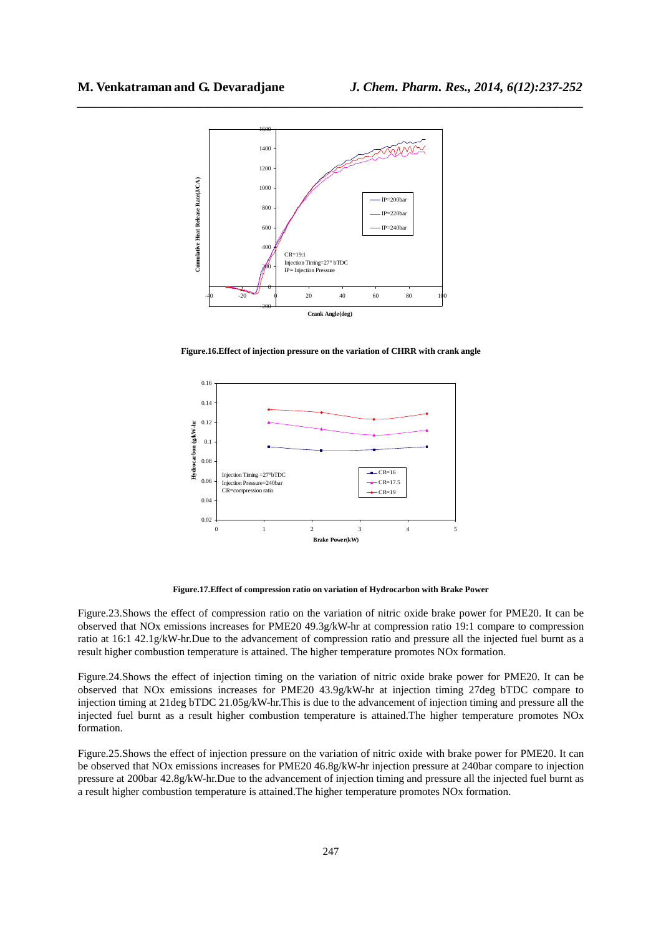

**Figure.16.Effect of injection pressure on the variation of CHRR with crank angle** 



**Figure.17.Effect of compression ratio on variation of Hydrocarbon with Brake Power** 

Figure.23.Shows the effect of compression ratio on the variation of nitric oxide brake power for PME20. It can be observed that NOx emissions increases for PME20 49.3g/kW-hr at compression ratio 19:1 compare to compression ratio at 16:1 42.1g/kW-hr.Due to the advancement of compression ratio and pressure all the injected fuel burnt as a result higher combustion temperature is attained. The higher temperature promotes NOx formation.

Figure.24.Shows the effect of injection timing on the variation of nitric oxide brake power for PME20. It can be observed that NOx emissions increases for PME20 43.9g/kW-hr at injection timing 27deg bTDC compare to injection timing at 21deg bTDC 21.05g/kW-hr.This is due to the advancement of injection timing and pressure all the injected fuel burnt as a result higher combustion temperature is attained.The higher temperature promotes NOx formation.

Figure.25.Shows the effect of injection pressure on the variation of nitric oxide with brake power for PME20. It can be observed that NOx emissions increases for PME20 46.8g/kW-hr injection pressure at 240bar compare to injection pressure at 200bar 42.8g/kW-hr.Due to the advancement of injection timing and pressure all the injected fuel burnt as a result higher combustion temperature is attained.The higher temperature promotes NOx formation.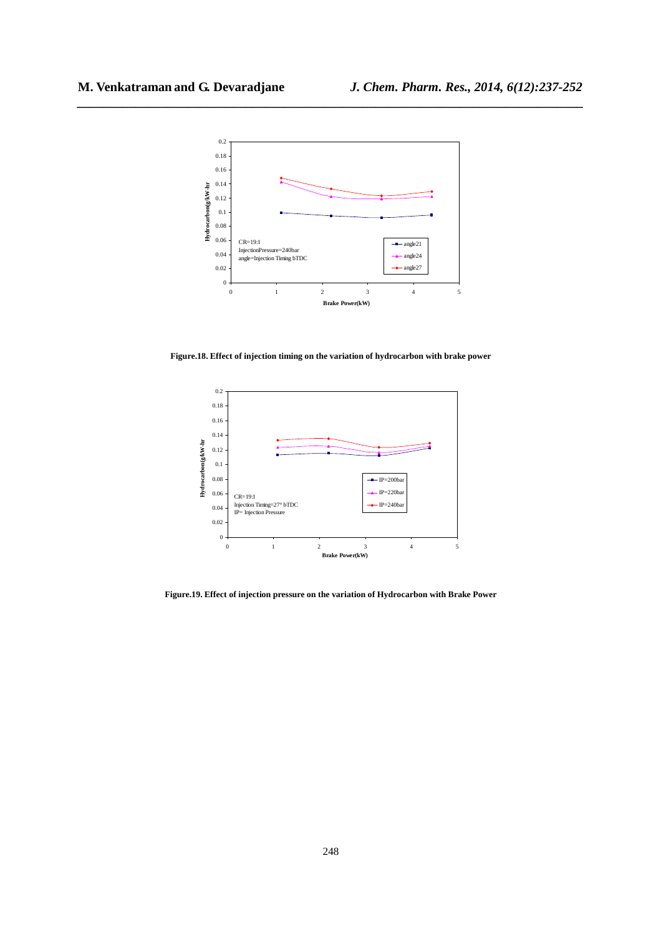

**Figure.18. Effect of injection timing on the variation of hydrocarbon with brake power** 



**Figure.19. Effect of injection pressure on the variation of Hydrocarbon with Brake Power**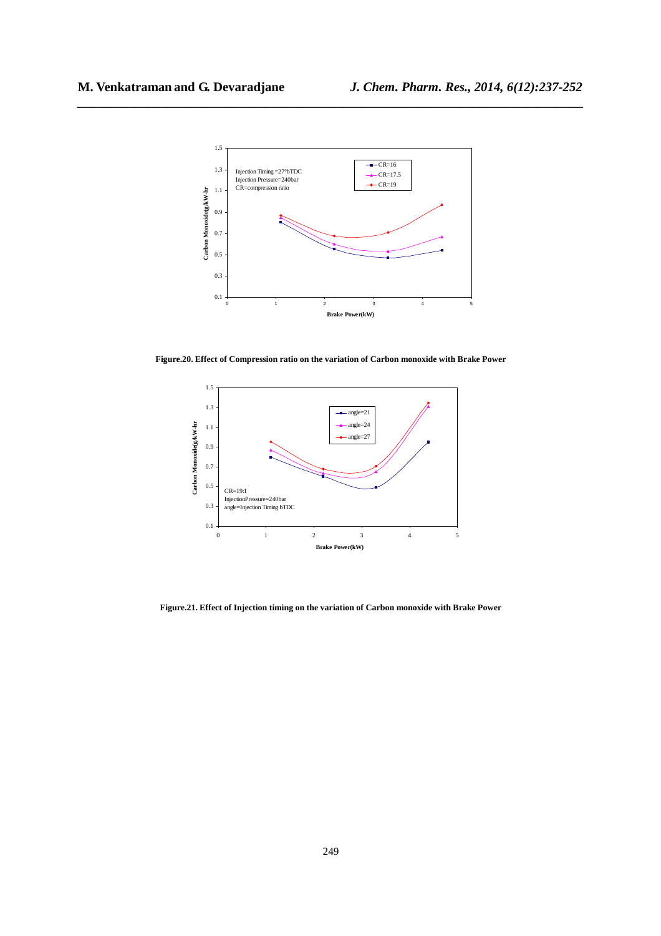

**Figure.20. Effect of Compression ratio on the variation of Carbon monoxide with Brake Power** 



**Figure.21. Effect of Injection timing on the variation of Carbon monoxide with Brake Power**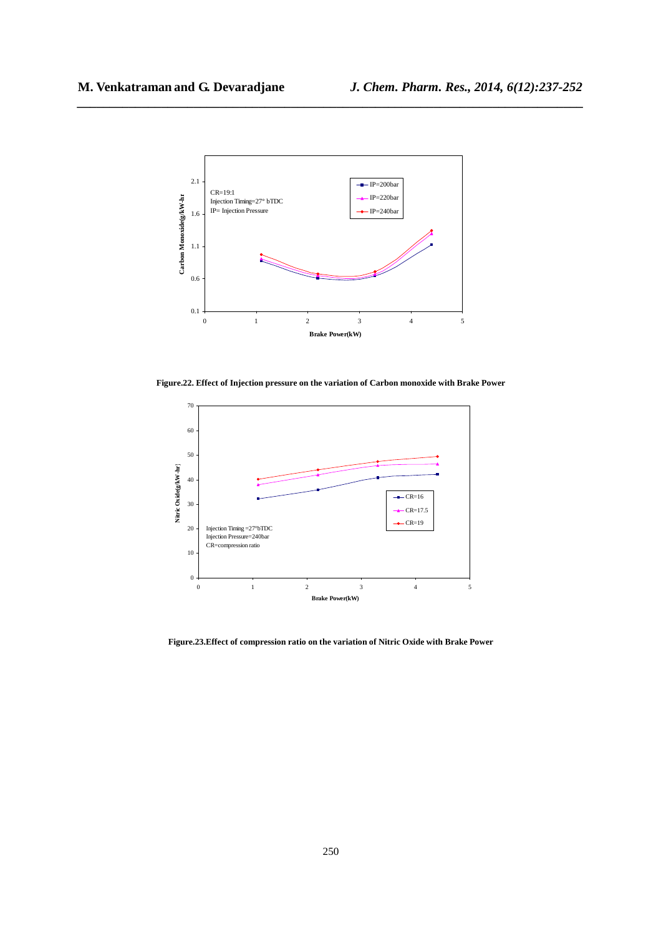

**Figure.22. Effect of Injection pressure on the variation of Carbon monoxide with Brake Power** 



**Figure.23.Effect of compression ratio on the variation of Nitric Oxide with Brake Power**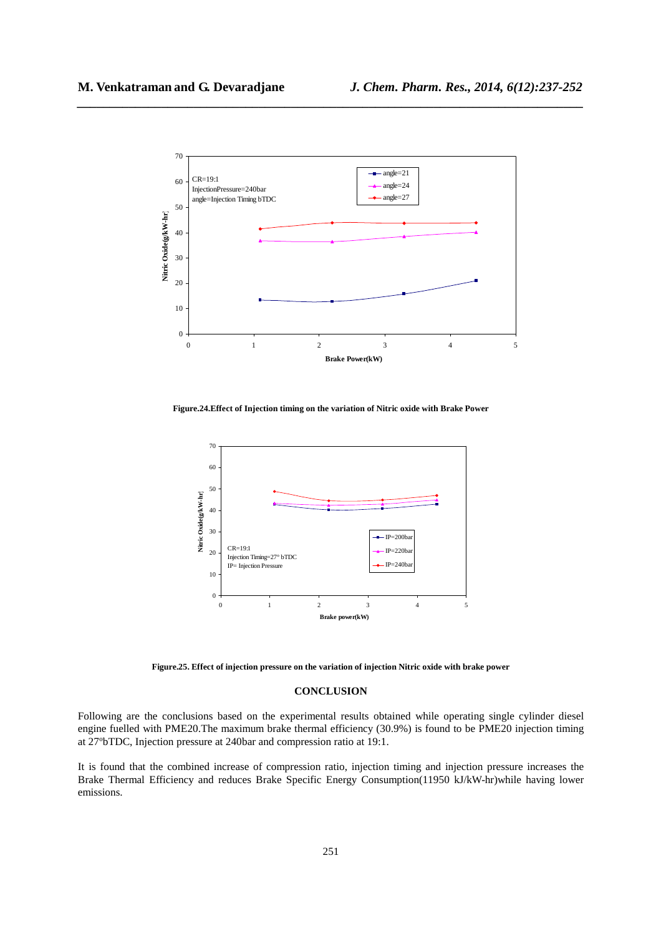

**Figure.24.Effect of Injection timing on the variation of Nitric oxide with Brake Power** 



**Figure.25. Effect of injection pressure on the variation of injection Nitric oxide with brake power** 

### **CONCLUSION**

Following are the conclusions based on the experimental results obtained while operating single cylinder diesel engine fuelled with PME20.The maximum brake thermal efficiency (30.9%) is found to be PME20 injection timing at 27ºbTDC, Injection pressure at 240bar and compression ratio at 19:1.

It is found that the combined increase of compression ratio, injection timing and injection pressure increases the Brake Thermal Efficiency and reduces Brake Specific Energy Consumption(11950 kJ/kW-hr)while having lower emissions.